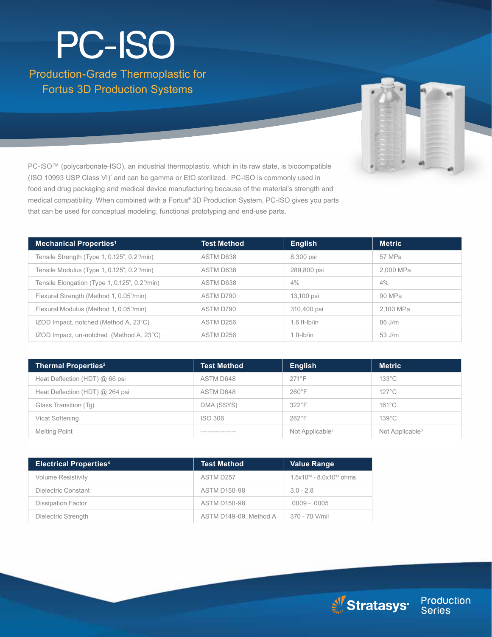# Production-Grade Thermoplastic for Fortus 3D Production Systems PC-ISO



PC-ISO™ (polycarbonate-ISO), an industrial thermoplastic, which in its raw state, is biocompatible (ISO 10993 USP Class VI)' and can be gamma or EtO sterilized. PC-ISO is commonly used in food and drug packaging and medical device manufacturing because of the material's strength and medical compatibility. When combined with a Fortus® 3D Production System, PC-ISO gives you parts that can be used for conceptual modeling, functional prototyping and end-use parts.

| <b>Mechanical Properties<sup>1</sup></b>      | <b>Test Method</b> | <b>English</b> | <b>Metric</b> |
|-----------------------------------------------|--------------------|----------------|---------------|
| Tensile Strength (Type 1, 0.125", 0.2"/min)   | ASTM D638          | 8,300 psi      | 57 MPa        |
| Tensile Modulus (Type 1, 0.125", 0.2"/min)    | ASTM D638          | 289,800 psi    | 2.000 MPa     |
| Tensile Elongation (Type 1, 0.125", 0.2"/min) | ASTM D638          | 4%             | $4\%$         |
| Flexural Strength (Method 1, 0.05"/min)       | ASTM D790          | 13,100 psi     | 90 MPa        |
| Flexural Modulus (Method 1, 0.05"/min)        | ASTM D790          | 310,400 psi    | 2,100 MPa     |
| IZOD Impact, notched (Method A, 23°C)         | ASTM D256          | $1.6$ ft-lb/in | 86 J/m        |
| IZOD Impact, un-notched (Method A, 23°C)      | ASTM D256          | $1 ft-lb/in$   | $53$ J/m      |

| <b>Thermal Properties<sup>2</sup></b> | <b>Test Method</b> | <b>English</b>              | <b>Metric</b>               |
|---------------------------------------|--------------------|-----------------------------|-----------------------------|
| Heat Deflection (HDT) @ 66 psi        | ASTM D648          | $271^{\circ}F$              | $133^{\circ}$ C             |
| Heat Deflection (HDT) @ 264 psi       | ASTM D648          | $260^{\circ}$ F             | $127^{\circ}$ C             |
| Glass Transition (Tg)                 | DMA (SSYS)         | $322^{\circ}$ F             | $161^{\circ}$ C             |
| Vicat Softening                       | ISO 306            | $282^{\circ}$ F             | $139^{\circ}$ C             |
| <b>Melting Point</b>                  | ----------------   | Not Applicable <sup>3</sup> | Not Applicable <sup>3</sup> |

| <b>Electrical Properties4</b> | <b>Test Method</b>     | <b>Value Range</b>               |
|-------------------------------|------------------------|----------------------------------|
| <b>Volume Resistivity</b>     | ASTM D257              | $1.5x10^{14} - 8.0x10^{13}$ ohms |
| Dielectric Constant           | <b>ASTM D150-98</b>    | $3.0 - 2.8$                      |
| <b>Dissipation Factor</b>     | <b>ASTM D150-98</b>    | $.0009 - .0005$                  |
| Dielectric Strength           | ASTM D149-09. Method A | 370 - 70 V/mil                   |

Stratasys<sup>®</sup> | Production